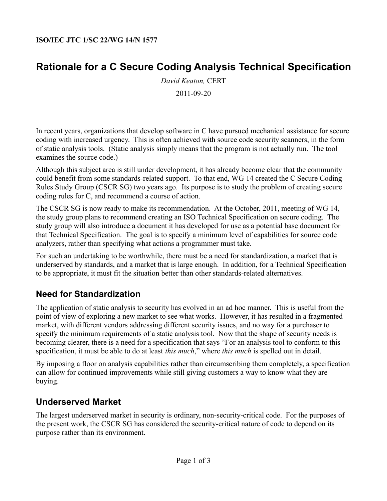# **Rationale for a C Secure Coding Analysis Technical Specification**

*David Keaton,* CERT 2011-09-20

In recent years, organizations that develop software in C have pursued mechanical assistance for secure coding with increased urgency. This is often achieved with source code security scanners, in the form of static analysis tools. (Static analysis simply means that the program is not actually run. The tool examines the source code.)

Although this subject area is still under development, it has already become clear that the community could benefit from some standards-related support. To that end, WG 14 created the C Secure Coding Rules Study Group (CSCR SG) two years ago. Its purpose is to study the problem of creating secure coding rules for C, and recommend a course of action.

The CSCR SG is now ready to make its recommendation. At the October, 2011, meeting of WG 14, the study group plans to recommend creating an ISO Technical Specification on secure coding. The study group will also introduce a document it has developed for use as a potential base document for that Technical Specification. The goal is to specify a minimum level of capabilities for source code analyzers, rather than specifying what actions a programmer must take.

For such an undertaking to be worthwhile, there must be a need for standardization, a market that is underserved by standards, and a market that is large enough. In addition, for a Technical Specification to be appropriate, it must fit the situation better than other standards-related alternatives.

## **Need for Standardization**

The application of static analysis to security has evolved in an ad hoc manner. This is useful from the point of view of exploring a new market to see what works. However, it has resulted in a fragmented market, with different vendors addressing different security issues, and no way for a purchaser to specify the minimum requirements of a static analysis tool. Now that the shape of security needs is becoming clearer, there is a need for a specification that says "For an analysis tool to conform to this specification, it must be able to do at least *this much*," where *this much* is spelled out in detail.

By imposing a floor on analysis capabilities rather than circumscribing them completely, a specification can allow for continued improvements while still giving customers a way to know what they are buying.

### **Underserved Market**

The largest underserved market in security is ordinary, non-security-critical code. For the purposes of the present work, the CSCR SG has considered the security-critical nature of code to depend on its purpose rather than its environment.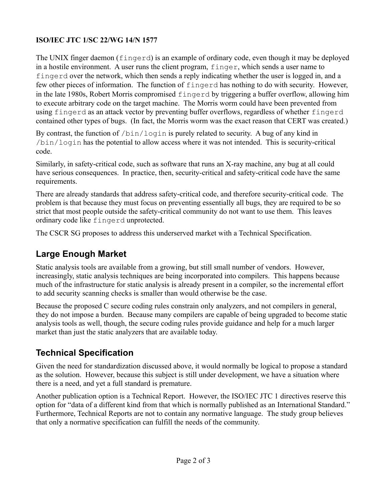#### **ISO/IEC JTC 1/SC 22/WG 14/N 1577**

The UNIX finger daemon (fingerd) is an example of ordinary code, even though it may be deployed in a hostile environment. A user runs the client program, finger, which sends a user name to fingerd over the network, which then sends a reply indicating whether the user is logged in, and a few other pieces of information. The function of fingerd has nothing to do with security. However, in the late 1980s, Robert Morris compromised fingerd by triggering a buffer overflow, allowing him to execute arbitrary code on the target machine. The Morris worm could have been prevented from using fingerd as an attack vector by preventing buffer overflows, regardless of whether fingerd contained other types of bugs. (In fact, the Morris worm was the exact reason that CERT was created.)

By contrast, the function of  $/\text{bin}/\text{login}$  is purely related to security. A bug of any kind in /bin/login has the potential to allow access where it was not intended. This is security-critical code.

Similarly, in safety-critical code, such as software that runs an X-ray machine, any bug at all could have serious consequences. In practice, then, security-critical and safety-critical code have the same requirements.

There are already standards that address safety-critical code, and therefore security-critical code. The problem is that because they must focus on preventing essentially all bugs, they are required to be so strict that most people outside the safety-critical community do not want to use them. This leaves ordinary code like fingerd unprotected.

The CSCR SG proposes to address this underserved market with a Technical Specification.

## **Large Enough Market**

Static analysis tools are available from a growing, but still small number of vendors. However, increasingly, static analysis techniques are being incorporated into compilers. This happens because much of the infrastructure for static analysis is already present in a compiler, so the incremental effort to add security scanning checks is smaller than would otherwise be the case.

Because the proposed C secure coding rules constrain only analyzers, and not compilers in general, they do not impose a burden. Because many compilers are capable of being upgraded to become static analysis tools as well, though, the secure coding rules provide guidance and help for a much larger market than just the static analyzers that are available today.

## **Technical Specification**

Given the need for standardization discussed above, it would normally be logical to propose a standard as the solution. However, because this subject is still under development, we have a situation where there is a need, and yet a full standard is premature.

Another publication option is a Technical Report. However, the ISO/IEC JTC 1 directives reserve this option for "data of a different kind from that which is normally published as an International Standard." Furthermore, Technical Reports are not to contain any normative language. The study group believes that only a normative specification can fulfill the needs of the community.